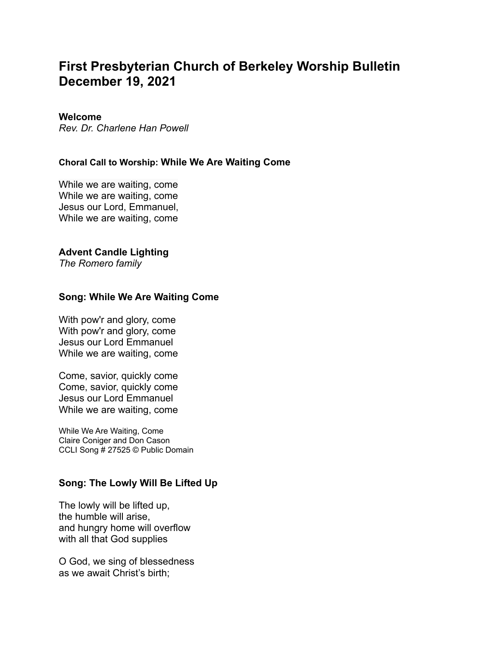# **First Presbyterian Church of Berkeley Worship Bulletin December 19, 2021**

#### **Welcome**

*Rev. Dr. Charlene Han Powell*

#### **Choral Call to Worship: While We Are Waiting Come**

While we are waiting, come While we are waiting, come Jesus our Lord, Emmanuel, While we are waiting, come

## **Advent Candle Lighting**

*The Romero family*

#### **Song: While We Are Waiting Come**

With pow'r and glory, come With pow'r and glory, come Jesus our Lord Emmanuel While we are waiting, come

Come, savior, quickly come Come, savior, quickly come Jesus our Lord Emmanuel While we are waiting, come

While We Are Waiting, Come Claire Coniger and Don Cason CCLI Song # 27525 © Public Domain

## **Song: The Lowly Will Be Lifted Up**

The lowly will be lifted up, the humble will arise, and hungry home will overflow with all that God supplies

O God, we sing of blessedness as we await Christ's birth;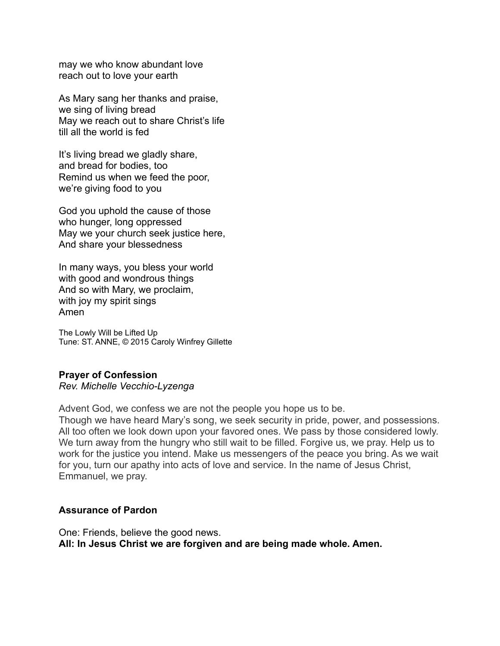may we who know abundant love reach out to love your earth

As Mary sang her thanks and praise, we sing of living bread May we reach out to share Christ's life till all the world is fed

It's living bread we gladly share, and bread for bodies, too Remind us when we feed the poor, we're giving food to you

God you uphold the cause of those who hunger, long oppressed May we your church seek justice here, And share your blessedness

In many ways, you bless your world with good and wondrous things And so with Mary, we proclaim, with joy my spirit sings Amen

The Lowly Will be Lifted Up Tune: ST. ANNE, © 2015 Caroly Winfrey Gillette

#### **Prayer of Confession**

*Rev. Michelle Vecchio-Lyzenga*

Advent God, we confess we are not the people you hope us to be.

Though we have heard Mary's song, we seek security in pride, power, and possessions. All too often we look down upon your favored ones. We pass by those considered lowly. We turn away from the hungry who still wait to be filled. Forgive us, we pray. Help us to work for the justice you intend. Make us messengers of the peace you bring. As we wait for you, turn our apathy into acts of love and service. In the name of Jesus Christ, Emmanuel, we pray.

#### **Assurance of Pardon**

One: Friends, believe the good news. **All: In Jesus Christ we are forgiven and are being made whole. Amen.**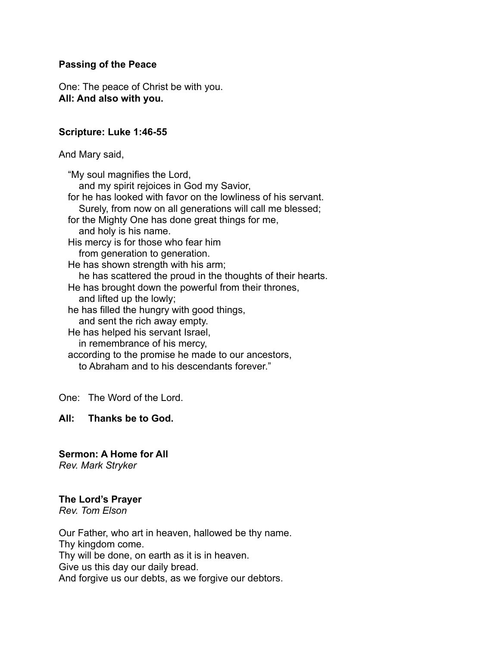## **Passing of the Peace**

One: The peace of Christ be with you. **All: And also with you.**

#### **Scripture: Luke 1:46-55**

And Mary said,

"My soul magnifies the Lord, and my spirit rejoices in God my Savior, for he has looked with favor on the lowliness of his servant. Surely, from now on all generations will call me blessed; for the Mighty One has done great things for me, and holy is his name. His mercy is for those who fear him from generation to generation. He has shown strength with his arm; he has scattered the proud in the thoughts of their hearts. He has brought down the powerful from their thrones, and lifted up the lowly; he has filled the hungry with good things, and sent the rich away empty. He has helped his servant Israel, in remembrance of his mercy, according to the promise he made to our ancestors, to Abraham and to his descendants forever."

One: The Word of the Lord.

**All: Thanks be to God.**

**Sermon: A Home for All** *Rev. Mark Stryker*

## **The Lord's Prayer**

*Rev. Tom Elson*

Our Father, who art in heaven, hallowed be thy name. Thy kingdom come. Thy will be done, on earth as it is in heaven. Give us this day our daily bread. And forgive us our debts, as we forgive our debtors.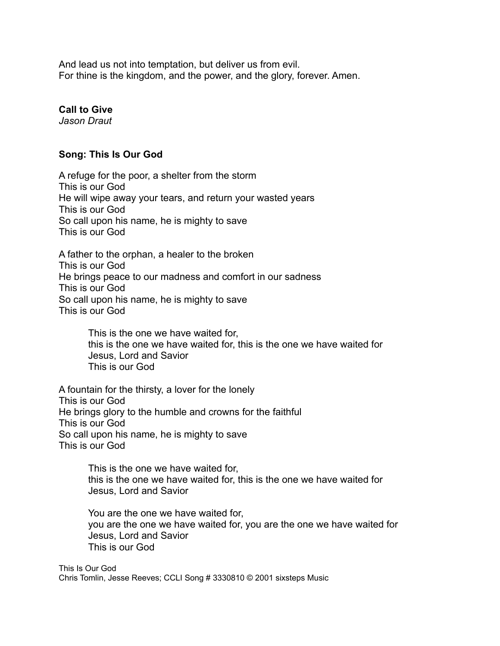And lead us not into temptation, but deliver us from evil. For thine is the kingdom, and the power, and the glory, forever. Amen.

## **Call to Give**

*Jason Draut*

## **Song: This Is Our God**

A refuge for the poor, a shelter from the storm This is our God He will wipe away your tears, and return your wasted years This is our God So call upon his name, he is mighty to save This is our God

A father to the orphan, a healer to the broken This is our God He brings peace to our madness and comfort in our sadness This is our God So call upon his name, he is mighty to save This is our God

> This is the one we have waited for, this is the one we have waited for, this is the one we have waited for Jesus, Lord and Savior This is our God

A fountain for the thirsty, a lover for the lonely This is our God He brings glory to the humble and crowns for the faithful This is our God So call upon his name, he is mighty to save This is our God

> This is the one we have waited for, this is the one we have waited for, this is the one we have waited for Jesus, Lord and Savior

You are the one we have waited for, you are the one we have waited for, you are the one we have waited for Jesus, Lord and Savior This is our God

This Is Our God Chris Tomlin, Jesse Reeves; CCLI Song # 3330810 © 2001 sixsteps Music